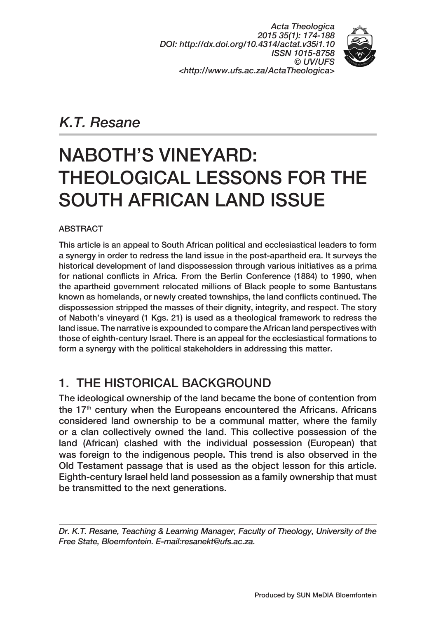*Acta Theologica 2015 35(1): 174‑188 DOI: http://dx.doi.org/10.4314/actat.v35i1.10 ISSN 1015‑8758 © UV/UFS <http://www.ufs.ac.za/ActaTheologica>*



## *K.T. Resane*

# NABOTH'S VINEYARD: THEOLOGICAL LESSONS FOR THE SOUTH AFRICAN LAND ISSUE

### ABSTRACT

This article is an appeal to South African political and ecclesiastical leaders to form a synergy in order to redress the land issue in the post-apartheid era. It surveys the historical development of land dispossession through various initiatives as a prima for national conflicts in Africa. From the Berlin Conference (1884) to 1990, when the apartheid government relocated millions of Black people to some Bantustans known as homelands, or newly created townships, the land conflicts continued. The dispossession stripped the masses of their dignity, integrity, and respect. The story of Naboth's vineyard (1 Kgs. 21) is used as a theological framework to redress the land issue. The narrative is expounded to compare the African land perspectives with those of eighth-century Israel. There is an appeal for the ecclesiastical formations to form a synergy with the political stakeholders in addressing this matter.

### 1. THE HISTORICAL BACKGROUND

The ideological ownership of the land became the bone of contention from the  $17<sup>th</sup>$  century when the Europeans encountered the Africans. Africans considered land ownership to be a communal matter, where the family or a clan collectively owned the land. This collective possession of the land (African) clashed with the individual possession (European) that was foreign to the indigenous people. This trend is also observed in the Old Testament passage that is used as the object lesson for this article. Eighth-century Israel held land possession as a family ownership that must be transmitted to the next generations.

*Dr. K.T. Resane, Teaching & Learning Manager, Faculty of Theology, University of the Free State, Bloemfontein. E-mail:resanekt@ufs.ac.za.*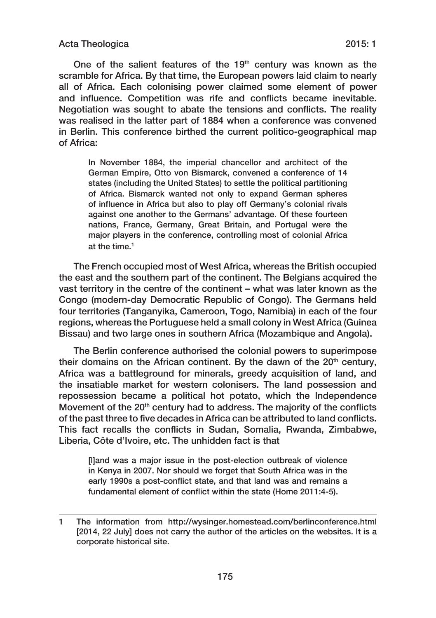#### Acta Theologica 2015: 1

One of the salient features of the 19<sup>th</sup> century was known as the scramble for Africa. By that time, the European powers laid claim to nearly all of Africa. Each colonising power claimed some element of power and influence. Competition was rife and conflicts became inevitable. Negotiation was sought to abate the tensions and conflicts. The reality was realised in the latter part of 1884 when a conference was convened in Berlin. This conference birthed the current politico-geographical map of Africa:

In November 1884, the imperial chancellor and architect of the German Empire, Otto von Bismarck, convened a conference of 14 states (including the United States) to settle the political partitioning of Africa. Bismarck wanted not only to expand German spheres of influence in Africa but also to play off Germany's colonial rivals against one another to the Germans' advantage. Of these fourteen nations, France, Germany, Great Britain, and Portugal were the major players in the conference, controlling most of colonial Africa at the time.1

The French occupied most of West Africa, whereas the British occupied the east and the southern part of the continent. The Belgians acquired the vast territory in the centre of the continent – what was later known as the Congo (modern-day Democratic Republic of Congo). The Germans held four territories (Tanganyika, Cameroon, Togo, Namibia) in each of the four regions, whereas the Portuguese held a small colony in West Africa (Guinea Bissau) and two large ones in southern Africa (Mozambique and Angola).

The Berlin conference authorised the colonial powers to superimpose their domains on the African continent. By the dawn of the  $20<sup>th</sup>$  century, Africa was a battleground for minerals, greedy acquisition of land, and the insatiable market for western colonisers. The land possession and repossession became a political hot potato, which the Independence Movement of the 20<sup>th</sup> century had to address. The majority of the conflicts of the past three to five decades in Africa can be attributed to land conflicts. This fact recalls the conflicts in Sudan, Somalia, Rwanda, Zimbabwe, Liberia, Côte d'Ivoire, etc. The unhidden fact is that

[l]and was a major issue in the post-election outbreak of violence in Kenya in 2007. Nor should we forget that South Africa was in the early 1990s a post-conflict state, and that land was and remains a fundamental element of conflict within the state (Home 2011:4-5).

<sup>1</sup> The information from http://wysinger.homestead.com/berlinconference.html [2014, 22 July] does not carry the author of the articles on the websites. It is a corporate historical site.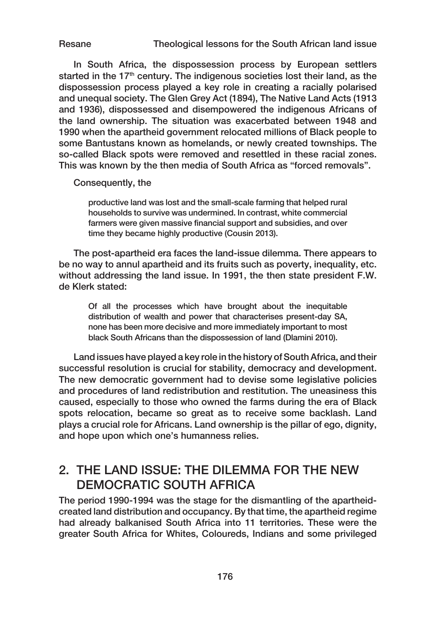In South Africa, the dispossession process by European settlers started in the 17<sup>th</sup> century. The indigenous societies lost their land, as the dispossession process played a key role in creating a racially polarised and unequal society. The Glen Grey Act (1894), The Native Land Acts (1913 and 1936), dispossessed and disempowered the indigenous Africans of the land ownership. The situation was exacerbated between 1948 and 1990 when the apartheid government relocated millions of Black people to some Bantustans known as homelands, or newly created townships. The so-called Black spots were removed and resettled in these racial zones. This was known by the then media of South Africa as "forced removals".

Consequently, the

productive land was lost and the small-scale farming that helped rural households to survive was undermined. In contrast, white commercial farmers were given massive financial support and subsidies, and over time they became highly productive (Cousin 2013).

The post-apartheid era faces the land-issue dilemma. There appears to be no way to annul apartheid and its fruits such as poverty, inequality, etc. without addressing the land issue. In 1991, the then state president F.W. de Klerk stated:

Of all the processes which have brought about the inequitable distribution of wealth and power that characterises present-day SA, none has been more decisive and more immediately important to most black South Africans than the dispossession of land (Dlamini 2010).

Land issues have played a key role in the history of South Africa, and their successful resolution is crucial for stability, democracy and development. The new democratic government had to devise some legislative policies and procedures of land redistribution and restitution. The uneasiness this caused, especially to those who owned the farms during the era of Black spots relocation, became so great as to receive some backlash. Land plays a crucial role for Africans. Land ownership is the pillar of ego, dignity, and hope upon which one's humanness relies.

### 2. THE LAND ISSUE: THE DILEMMA FOR THE NEW DEMOCRATIC SOUTH AFRICA

The period 1990-1994 was the stage for the dismantling of the apartheidcreated land distribution and occupancy. By that time, the apartheid regime had already balkanised South Africa into 11 territories. These were the greater South Africa for Whites, Coloureds, Indians and some privileged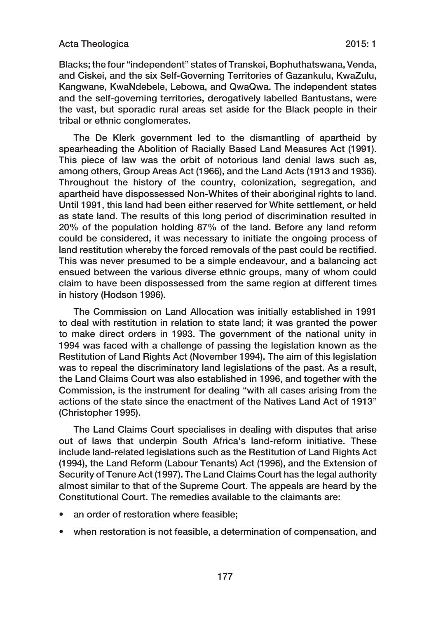Blacks; the four "independent" states of Transkei, Bophuthatswana, Venda, and Ciskei, and the six Self-Governing Territories of Gazankulu, KwaZulu, Kangwane, KwaNdebele, Lebowa, and QwaQwa. The independent states and the self-governing territories, derogatively labelled Bantustans, were the vast, but sporadic rural areas set aside for the Black people in their tribal or ethnic conglomerates.

The De Klerk government led to the dismantling of apartheid by spearheading the Abolition of Racially Based Land Measures Act (1991). This piece of law was the orbit of notorious land denial laws such as, among others, Group Areas Act (1966), and the Land Acts (1913 and 1936). Throughout the history of the country, colonization, segregation, and apartheid have dispossessed Non-Whites of their aboriginal rights to land. Until 1991, this land had been either reserved for White settlement, or held as state land. The results of this long period of discrimination resulted in 20% of the population holding 87% of the land. Before any land reform could be considered, it was necessary to initiate the ongoing process of land restitution whereby the forced removals of the past could be rectified. This was never presumed to be a simple endeavour, and a balancing act ensued between the various diverse ethnic groups, many of whom could claim to have been dispossessed from the same region at different times in history (Hodson 1996).

The Commission on Land Allocation was initially established in 1991 to deal with restitution in relation to state land; it was granted the power to make direct orders in 1993. The government of the national unity in 1994 was faced with a challenge of passing the legislation known as the Restitution of Land Rights Act (November 1994). The aim of this legislation was to repeal the discriminatory land legislations of the past. As a result, the Land Claims Court was also established in 1996, and together with the Commission, is the instrument for dealing "with all cases arising from the actions of the state since the enactment of the Natives Land Act of 1913" (Christopher 1995).

The Land Claims Court specialises in dealing with disputes that arise out of laws that underpin South Africa's land-reform initiative. These include land-related legislations such as the Restitution of Land Rights Act (1994), the Land Reform (Labour Tenants) Act (1996), and the Extension of Security of Tenure Act (1997). The Land Claims Court has the legal authority almost similar to that of the Supreme Court. The appeals are heard by the Constitutional Court. The remedies available to the claimants are:

- an order of restoration where feasible:
- when restoration is not feasible, a determination of compensation, and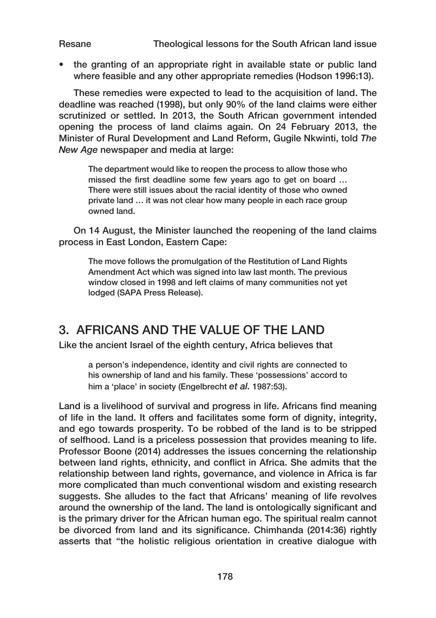• the granting of an appropriate right in available state or public land where feasible and any other appropriate remedies (Hodson 1996:13).

These remedies were expected to lead to the acquisition of land. The deadline was reached (1998), but only 90% of the land claims were either scrutinized or settled. In 2013, the South African government intended opening the process of land claims again. On 24 February 2013, the Minister of Rural Development and Land Reform, Gugile Nkwinti, told *The New Age* newspaper and media at large:

The department would like to reopen the process to allow those who missed the first deadline some few years ago to get on board … There were still issues about the racial identity of those who owned private land … it was not clear how many people in each race group owned land.

On 14 August, the Minister launched the reopening of the land claims process in East London, Eastern Cape:

The move follows the promulgation of the Restitution of Land Rights Amendment Act which was signed into law last month. The previous window closed in 1998 and left claims of many communities not yet lodged (SAPA Press Release).

## 3. AFRICANS AND THE VALUE OF THE LAND

Like the ancient Israel of the eighth century, Africa believes that

a person's independence, identity and civil rights are connected to his ownership of land and his family. These 'possessions' accord to him a 'place' in society (Engelbrecht *et al.* 1987:53).

Land is a livelihood of survival and progress in life. Africans find meaning of life in the land. It offers and facilitates some form of dignity, integrity, and ego towards prosperity. To be robbed of the land is to be stripped of selfhood. Land is a priceless possession that provides meaning to life. Professor Boone (2014) addresses the issues concerning the relationship between land rights, ethnicity, and conflict in Africa. She admits that the relationship between land rights, governance, and violence in Africa is far more complicated than much conventional wisdom and existing research suggests. She alludes to the fact that Africans' meaning of life revolves around the ownership of the land. The land is ontologically significant and is the primary driver for the African human ego. The spiritual realm cannot be divorced from land and its significance. Chimhanda (2014:36) rightly asserts that "the holistic religious orientation in creative dialogue with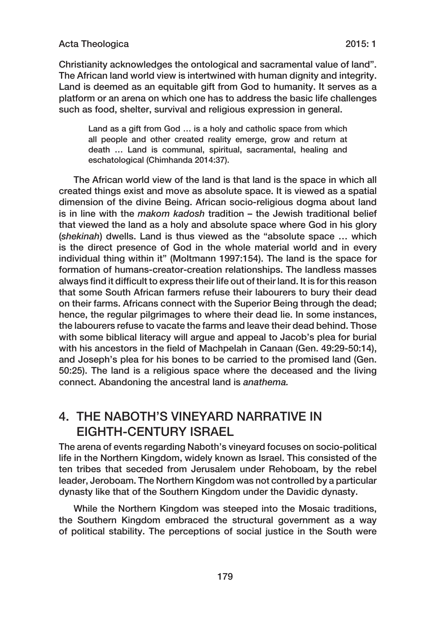#### Acta Theologica 2015: 1

Christianity acknowledges the ontological and sacramental value of land". The African land world view is intertwined with human dignity and integrity. Land is deemed as an equitable gift from God to humanity. It serves as a platform or an arena on which one has to address the basic life challenges such as food, shelter, survival and religious expression in general.

Land as a gift from God … is a holy and catholic space from which all people and other created reality emerge, grow and return at death … Land is communal, spiritual, sacramental, healing and eschatological (Chimhanda 2014:37).

The African world view of the land is that land is the space in which all created things exist and move as absolute space. It is viewed as a spatial dimension of the divine Being. African socio-religious dogma about land is in line with the *makom kadosh* tradition – the Jewish traditional belief that viewed the land as a holy and absolute space where God in his glory (*shekinah*) dwells. Land is thus viewed as the "absolute space … which is the direct presence of God in the whole material world and in every individual thing within it" (Moltmann 1997:154). The land is the space for formation of humans-creator-creation relationships. The landless masses always find it difficult to express their life out of their land. It is for this reason that some South African farmers refuse their labourers to bury their dead on their farms. Africans connect with the Superior Being through the dead; hence, the regular pilgrimages to where their dead lie. In some instances, the labourers refuse to vacate the farms and leave their dead behind. Those with some biblical literacy will argue and appeal to Jacob's plea for burial with his ancestors in the field of Machpelah in Canaan (Gen. 49:29-50:14), and Joseph's plea for his bones to be carried to the promised land (Gen. 50:25). The land is a religious space where the deceased and the living connect. Abandoning the ancestral land is *anathema.*

### 4. THE NABOTH'S VINEYARD NARRATIVE IN EIGHTH-CENTURY ISRAEL

The arena of events regarding Naboth's vineyard focuses on socio-political life in the Northern Kingdom, widely known as Israel. This consisted of the ten tribes that seceded from Jerusalem under Rehoboam, by the rebel leader, Jeroboam. The Northern Kingdom was not controlled by a particular dynasty like that of the Southern Kingdom under the Davidic dynasty.

While the Northern Kingdom was steeped into the Mosaic traditions, the Southern Kingdom embraced the structural government as a way of political stability. The perceptions of social justice in the South were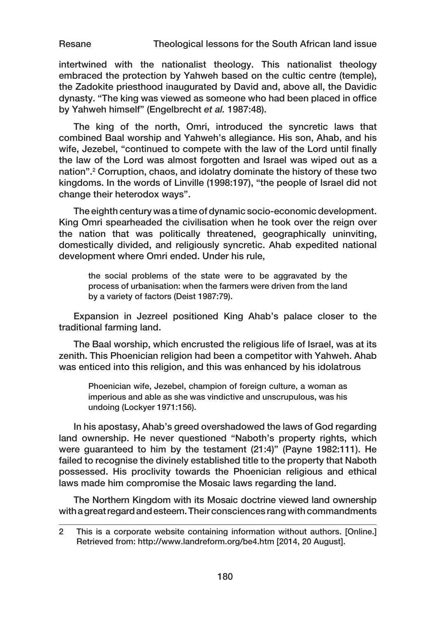### Resane Theological lessons for the South African land issue

intertwined with the nationalist theology. This nationalist theology embraced the protection by Yahweh based on the cultic centre (temple), the Zadokite priesthood inaugurated by David and, above all, the Davidic dynasty. "The king was viewed as someone who had been placed in office by Yahweh himself" (Engelbrecht *et al.* 1987:48).

The king of the north, Omri, introduced the syncretic laws that combined Baal worship and Yahweh's allegiance. His son, Ahab, and his wife, Jezebel, "continued to compete with the law of the Lord until finally the law of the Lord was almost forgotten and Israel was wiped out as a nation".2 Corruption, chaos, and idolatry dominate the history of these two kingdoms. In the words of Linville (1998:197), "the people of Israel did not change their heterodox ways".

The eighth century was a time of dynamic socio-economic development. King Omri spearheaded the civilisation when he took over the reign over the nation that was politically threatened, geographically uninviting, domestically divided, and religiously syncretic. Ahab expedited national development where Omri ended. Under his rule,

the social problems of the state were to be aggravated by the process of urbanisation: when the farmers were driven from the land by a variety of factors (Deist 1987:79).

Expansion in Jezreel positioned King Ahab's palace closer to the traditional farming land.

The Baal worship, which encrusted the religious life of Israel, was at its zenith. This Phoenician religion had been a competitor with Yahweh. Ahab was enticed into this religion, and this was enhanced by his idolatrous

Phoenician wife, Jezebel, champion of foreign culture, a woman as imperious and able as she was vindictive and unscrupulous, was his undoing (Lockyer 1971:156).

In his apostasy, Ahab's greed overshadowed the laws of God regarding land ownership. He never questioned "Naboth's property rights, which were guaranteed to him by the testament (21:4)" (Payne 1982:111). He failed to recognise the divinely established title to the property that Naboth possessed. His proclivity towards the Phoenician religious and ethical laws made him compromise the Mosaic laws regarding the land.

The Northern Kingdom with its Mosaic doctrine viewed land ownership with a great regard and esteem. Their consciences rang with commandments

<sup>2</sup> This is a corporate website containing information without authors. [Online.] Retrieved from: http://www.landreform.org/be4.htm [2014, 20 August].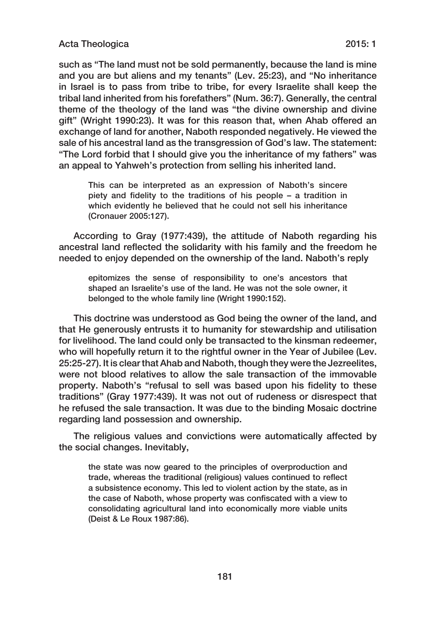#### Acta Theologica 2015: 1

such as "The land must not be sold permanently, because the land is mine and you are but aliens and my tenants" (Lev. 25:23), and "No inheritance in Israel is to pass from tribe to tribe, for every Israelite shall keep the tribal land inherited from his forefathers" (Num. 36:7). Generally, the central theme of the theology of the land was "the divine ownership and divine gift" (Wright 1990:23). It was for this reason that, when Ahab offered an exchange of land for another, Naboth responded negatively. He viewed the sale of his ancestral land as the transgression of God's law. The statement: "The Lord forbid that I should give you the inheritance of my fathers" was an appeal to Yahweh's protection from selling his inherited land.

This can be interpreted as an expression of Naboth's sincere piety and fidelity to the traditions of his people – a tradition in which evidently he believed that he could not sell his inheritance (Cronauer 2005:127).

According to Gray (1977:439), the attitude of Naboth regarding his ancestral land reflected the solidarity with his family and the freedom he needed to enjoy depended on the ownership of the land. Naboth's reply

epitomizes the sense of responsibility to one's ancestors that shaped an Israelite's use of the land. He was not the sole owner, it belonged to the whole family line (Wright 1990:152).

This doctrine was understood as God being the owner of the land, and that He generously entrusts it to humanity for stewardship and utilisation for livelihood. The land could only be transacted to the kinsman redeemer, who will hopefully return it to the rightful owner in the Year of Jubilee (Lev. 25:25-27). It is clear that Ahab and Naboth, though they were the Jezreelites, were not blood relatives to allow the sale transaction of the immovable property. Naboth's "refusal to sell was based upon his fidelity to these traditions" (Gray 1977:439). It was not out of rudeness or disrespect that he refused the sale transaction. It was due to the binding Mosaic doctrine regarding land possession and ownership.

The religious values and convictions were automatically affected by the social changes. Inevitably,

the state was now geared to the principles of overproduction and trade, whereas the traditional (religious) values continued to reflect a subsistence economy. This led to violent action by the state, as in the case of Naboth, whose property was confiscated with a view to consolidating agricultural land into economically more viable units (Deist & Le Roux 1987:86).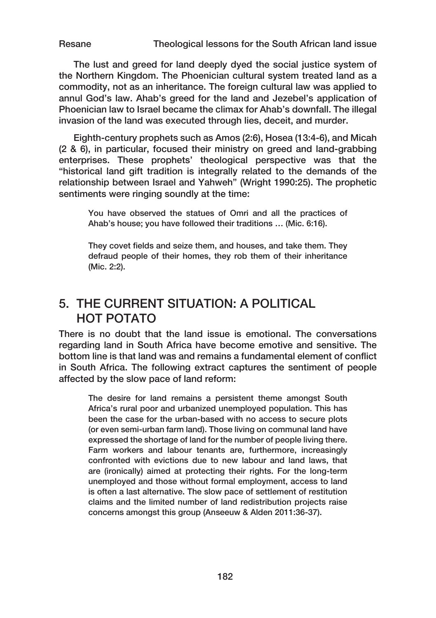Resane Theological lessons for the South African land issue

The lust and greed for land deeply dyed the social justice system of the Northern Kingdom. The Phoenician cultural system treated land as a commodity, not as an inheritance. The foreign cultural law was applied to annul God's law. Ahab's greed for the land and Jezebel's application of Phoenician law to Israel became the climax for Ahab's downfall. The illegal invasion of the land was executed through lies, deceit, and murder.

Eighth-century prophets such as Amos (2:6), Hosea (13:4-6), and Micah (2 & 6), in particular, focused their ministry on greed and land-grabbing enterprises. These prophets' theological perspective was that the "historical land gift tradition is integrally related to the demands of the relationship between Israel and Yahweh" (Wright 1990:25). The prophetic sentiments were ringing soundly at the time:

You have observed the statues of Omri and all the practices of Ahab's house; you have followed their traditions … (Mic. 6:16).

They covet fields and seize them, and houses, and take them. They defraud people of their homes, they rob them of their inheritance (Mic. 2:2).

### 5. THE CURRENT SITUATION: A POLITICAL HOT POTATO

There is no doubt that the land issue is emotional. The conversations regarding land in South Africa have become emotive and sensitive. The bottom line is that land was and remains a fundamental element of conflict in South Africa. The following extract captures the sentiment of people affected by the slow pace of land reform:

The desire for land remains a persistent theme amongst South Africa's rural poor and urbanized unemployed population. This has been the case for the urban-based with no access to secure plots (or even semi-urban farm land). Those living on communal land have expressed the shortage of land for the number of people living there. Farm workers and labour tenants are, furthermore, increasingly confronted with evictions due to new labour and land laws, that are (ironically) aimed at protecting their rights. For the long-term unemployed and those without formal employment, access to land is often a last alternative. The slow pace of settlement of restitution claims and the limited number of land redistribution projects raise concerns amongst this group (Anseeuw & Alden 2011:36-37).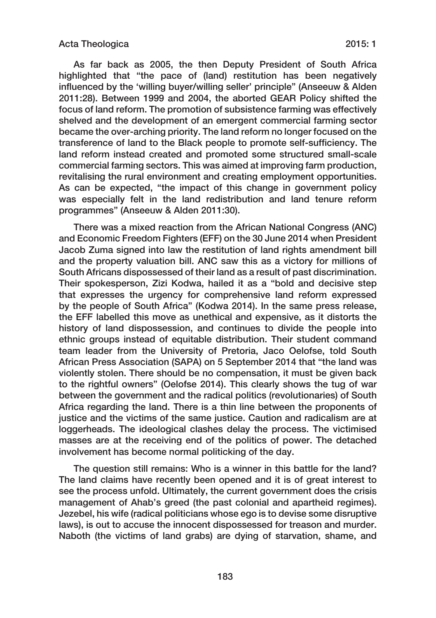As far back as 2005, the then Deputy President of South Africa highlighted that "the pace of (land) restitution has been negatively influenced by the 'willing buyer/willing seller' principle" (Anseeuw & Alden 2011:28). Between 1999 and 2004, the aborted GEAR Policy shifted the focus of land reform. The promotion of subsistence farming was effectively shelved and the development of an emergent commercial farming sector became the over-arching priority. The land reform no longer focused on the transference of land to the Black people to promote self-sufficiency. The land reform instead created and promoted some structured small-scale commercial farming sectors. This was aimed at improving farm production, revitalising the rural environment and creating employment opportunities. As can be expected, "the impact of this change in government policy was especially felt in the land redistribution and land tenure reform programmes" (Anseeuw & Alden 2011:30).

There was a mixed reaction from the African National Congress (ANC) and Economic Freedom Fighters (EFF) on the 30 June 2014 when President Jacob Zuma signed into law the restitution of land rights amendment bill and the property valuation bill. ANC saw this as a victory for millions of South Africans dispossessed of their land as a result of past discrimination. Their spokesperson, Zizi Kodwa, hailed it as a "bold and decisive step that expresses the urgency for comprehensive land reform expressed by the people of South Africa" (Kodwa 2014). In the same press release, the EFF labelled this move as unethical and expensive, as it distorts the history of land dispossession, and continues to divide the people into ethnic groups instead of equitable distribution. Their student command team leader from the University of Pretoria, Jaco Oelofse, told South African Press Association (SAPA) on 5 September 2014 that "the land was violently stolen. There should be no compensation, it must be given back to the rightful owners" (Oelofse 2014). This clearly shows the tug of war between the government and the radical politics (revolutionaries) of South Africa regarding the land. There is a thin line between the proponents of justice and the victims of the same justice. Caution and radicalism are at loggerheads. The ideological clashes delay the process. The victimised masses are at the receiving end of the politics of power. The detached involvement has become normal politicking of the day.

The question still remains: Who is a winner in this battle for the land? The land claims have recently been opened and it is of great interest to see the process unfold. Ultimately, the current government does the crisis management of Ahab's greed (the past colonial and apartheid regimes). Jezebel, his wife (radical politicians whose ego is to devise some disruptive laws), is out to accuse the innocent dispossessed for treason and murder. Naboth (the victims of land grabs) are dying of starvation, shame, and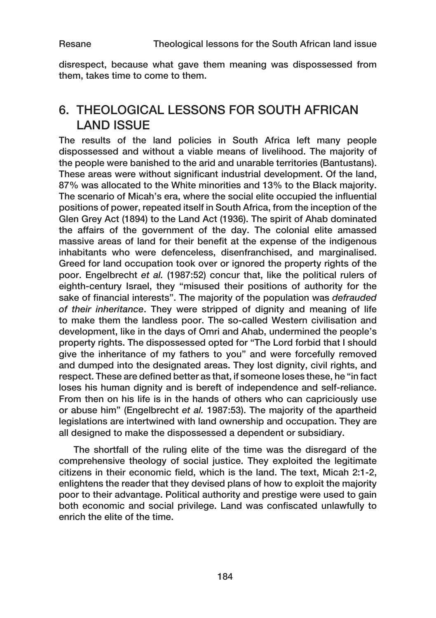disrespect, because what gave them meaning was dispossessed from them, takes time to come to them.

### 6. THEOLOGICAL LESSONS FOR SOUTH AFRICAN LAND ISSUE

The results of the land policies in South Africa left many people dispossessed and without a viable means of livelihood. The majority of the people were banished to the arid and unarable territories (Bantustans). These areas were without significant industrial development. Of the land, 87% was allocated to the White minorities and 13% to the Black majority. The scenario of Micah's era, where the social elite occupied the influential positions of power, repeated itself in South Africa, from the inception of the Glen Grey Act (1894) to the Land Act (1936). The spirit of Ahab dominated the affairs of the government of the day. The colonial elite amassed massive areas of land for their benefit at the expense of the indigenous inhabitants who were defenceless, disenfranchised, and marginalised. Greed for land occupation took over or ignored the property rights of the poor. Engelbrecht *et al.* (1987:52) concur that, like the political rulers of eighth-century Israel, they "misused their positions of authority for the sake of financial interests". The majority of the population was *defrauded of their inheritance*. They were stripped of dignity and meaning of life to make them the landless poor. The so-called Western civilisation and development, like in the days of Omri and Ahab, undermined the people's property rights. The dispossessed opted for "The Lord forbid that I should give the inheritance of my fathers to you" and were forcefully removed and dumped into the designated areas. They lost dignity, civil rights, and respect. These are defined better as that, if someone loses these, he "in fact loses his human dignity and is bereft of independence and self-reliance. From then on his life is in the hands of others who can capriciously use or abuse him" (Engelbrecht *et al.* 1987:53). The majority of the apartheid legislations are intertwined with land ownership and occupation. They are all designed to make the dispossessed a dependent or subsidiary.

The shortfall of the ruling elite of the time was the disregard of the comprehensive theology of social justice. They exploited the legitimate citizens in their economic field, which is the land. The text, Micah 2:1-2, enlightens the reader that they devised plans of how to exploit the majority poor to their advantage. Political authority and prestige were used to gain both economic and social privilege. Land was confiscated unlawfully to enrich the elite of the time.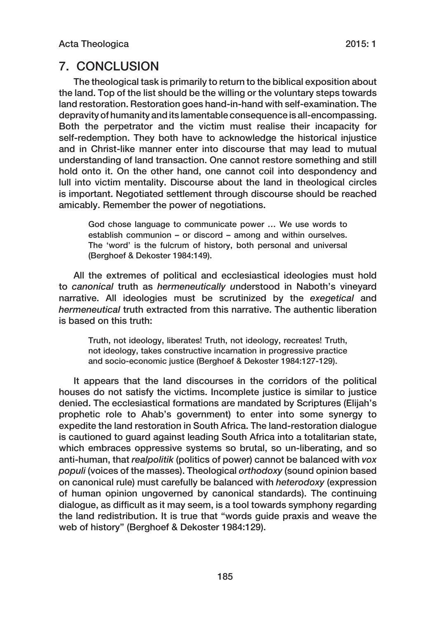### 7. CONCLUSION

The theological task is primarily to return to the biblical exposition about the land. Top of the list should be the willing or the voluntary steps towards land restoration. Restoration goes hand-in-hand with self-examination. The depravity of humanity and its lamentable consequence is all-encompassing. Both the perpetrator and the victim must realise their incapacity for self-redemption. They both have to acknowledge the historical injustice and in Christ-like manner enter into discourse that may lead to mutual understanding of land transaction. One cannot restore something and still hold onto it. On the other hand, one cannot coil into despondency and lull into victim mentality. Discourse about the land in theological circles is important. Negotiated settlement through discourse should be reached amicably. Remember the power of negotiations.

God chose language to communicate power … We use words to establish communion – or discord – among and within ourselves. The 'word' is the fulcrum of history, both personal and universal (Berghoef & Dekoster 1984:149).

All the extremes of political and ecclesiastical ideologies must hold to *canonical* truth as *hermeneutically u*nderstood in Naboth's vineyard narrative. All ideologies must be scrutinized by the *exegetical* and *hermeneutical* truth extracted from this narrative. The authentic liberation is based on this truth:

Truth, not ideology, liberates! Truth, not ideology, recreates! Truth, not ideology, takes constructive incarnation in progressive practice and socio-economic justice (Berghoef & Dekoster 1984:127-129).

It appears that the land discourses in the corridors of the political houses do not satisfy the victims. Incomplete justice is similar to justice denied. The ecclesiastical formations are mandated by Scriptures (Elijah's prophetic role to Ahab's government) to enter into some synergy to expedite the land restoration in South Africa. The land-restoration dialogue is cautioned to guard against leading South Africa into a totalitarian state, which embraces oppressive systems so brutal, so un-liberating, and so anti-human, that *realpolitik* (politics of power) cannot be balanced with *vox populi* (voices of the masses). Theological *orthodoxy* (sound opinion based on canonical rule) must carefully be balanced with *heterodoxy* (expression of human opinion ungoverned by canonical standards). The continuing dialogue, as difficult as it may seem, is a tool towards symphony regarding the land redistribution. It is true that "words guide praxis and weave the web of history" (Berghoef & Dekoster 1984:129).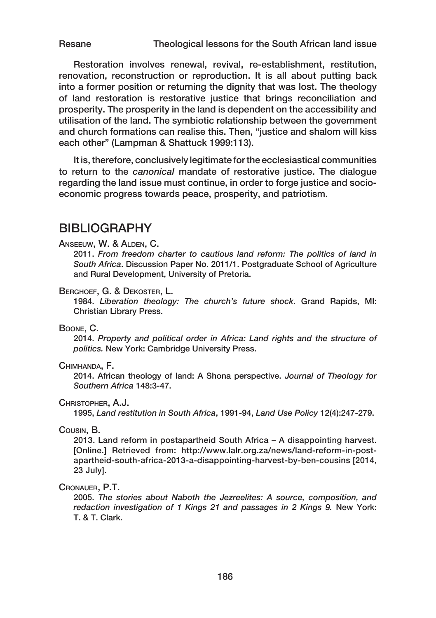Restoration involves renewal, revival, re-establishment, restitution, renovation, reconstruction or reproduction. It is all about putting back into a former position or returning the dignity that was lost. The theology of land restoration is restorative justice that brings reconciliation and prosperity. The prosperity in the land is dependent on the accessibility and utilisation of the land. The symbiotic relationship between the government and church formations can realise this. Then, "justice and shalom will kiss each other" (Lampman & Shattuck 1999:113).

It is, therefore, conclusively legitimate for the ecclesiastical communities to return to the *canonical* mandate of restorative justice. The dialogue regarding the land issue must continue, in order to forge justice and socioeconomic progress towards peace, prosperity, and patriotism.

### BIBLIOGRAPHY

#### Anseeuw, W. & Alden, C.

2011. *From freedom charter to cautious land reform: The politics of land in South Africa*. Discussion Paper No. 2011/1. Postgraduate School of Agriculture and Rural Development, University of Pretoria.

#### Berghoef, G. & Dekoster, L.

1984. *Liberation theology: The church's future shock*. Grand Rapids, MI: Christian Library Press.

#### Boone, C.

2014. *Property and political order in Africa: Land rights and the structure of politics.* New York: Cambridge University Press.

#### Chimhanda, F.

2014. African theology of land: A Shona perspective. *Journal of Theology for Southern Africa* 148:3-47.

#### Christopher, A.J.

1995, *Land restitution in South Africa*, 1991-94, *Land Use Policy* 12(4):247-279.

#### Cousin, B.

2013. Land reform in postapartheid South Africa – A disappointing harvest. [Online.] Retrieved from: http://www.lalr.org.za/news/land-reform-in-postapartheid-south-africa-2013-a-disappointing-harvest-by-ben-cousins [2014, 23 July].

#### Cronauer, P.T.

2005. *The stories about Naboth the Jezreelites: A source, composition, and redaction investigation of 1 Kings 21 and passages in 2 Kings 9. New York:* T. & T. Clark.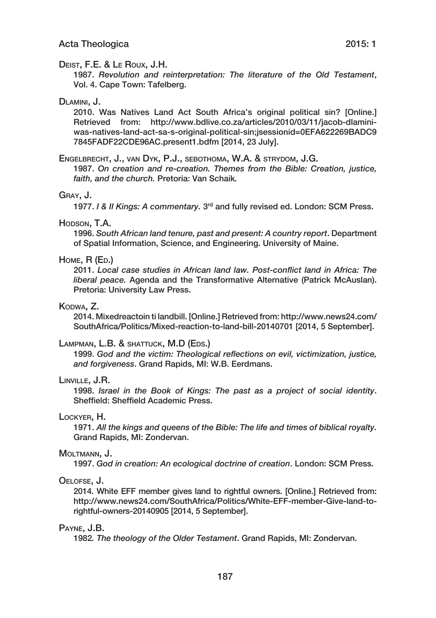#### Deist, F.E. & Le Roux, J.H.

1987. *Revolution and reinterpretation: The literature of the Old Testament*, Vol. 4. Cape Town: Tafelberg.

#### Dlamini, J.

2010. Was Natives Land Act South Africa's original political sin? [Online.] Retrieved from: http://www.bdlive.co.za/articles/2010/03/11/jacob-dlaminiwas-natives-land-act-sa-s-original-political-sin;jsessionid=0EFA622269BADC9 7845FADF22CDE96AC.present1.bdfm [2014, 23 July].

#### Engelbrecht, J., van Dyk, P.J., sebothoma, W.A. & strydom, J.G.

1987. *On creation and re-creation. Themes from the Bible: Creation, justice, faith, and the church.* Pretoria: Van Schaik*.*

#### Gray, J.

1977. *I & II Kings: A commentary.* 3rd and fully revised ed. London: SCM Press.

#### HODSON, T.A.

1996. *South African land tenure, past and present: A country report*. Department of Spatial Information, Science, and Engineering. University of Maine.

#### HOME, R (ED.)

2011. *Local case studies in African land law. Post-conflict land in Africa: The liberal peace.* Agenda and the Transformative Alternative (Patrick McAuslan). Pretoria: University Law Press.

#### KODWA, Z.

2014. Mixedreactoin ti landbill. [Online.] Retrieved from: http://www.news24.com/ SouthAfrica/Politics/Mixed-reaction-to-land-bill-20140701 [2014, 5 September].

#### LAMPMAN, L.B. & SHATTUCK, M.D (EDS.)

1999. *God and the victim: Theological reflections on evil, victimization, justice, and forgiveness*. Grand Rapids, MI: W.B. Eerdmans.

#### Linville, J.R.

1998. *Israel in the Book of Kings: The past as a project of social identity*. Sheffield: Sheffield Academic Press.

#### Lockyer, H.

1971. *All the kings and queens of the Bible: The life and times of biblical royalty.* Grand Rapids, MI: Zondervan.

#### MOLTMANN, J.

1997. *God in creation: An ecological doctrine of creation*. London: SCM Press.

#### Oelofse, J.

2014. White EFF member gives land to rightful owners. [Online.] Retrieved from: http://www.news24.com/SouthAfrica/Politics/White-EFF-member-Give-land-torightful-owners-20140905 [2014, 5 September].

#### Payne, J.B.

1982*. The theology of the Older Testament*. Grand Rapids, MI: Zondervan.